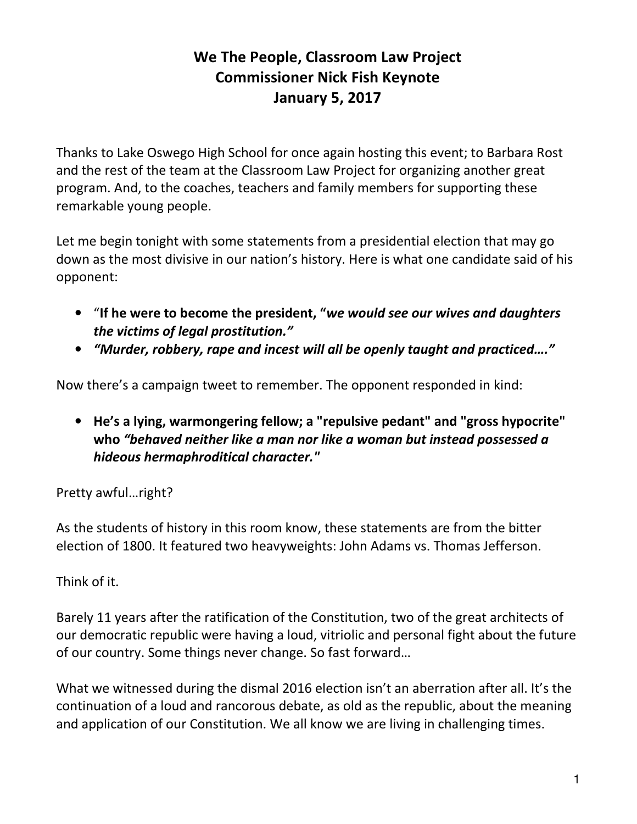## **We The People, Classroom Law Project Commissioner Nick Fish Keynote January 5, 2017**

Thanks to Lake Oswego High School for once again hosting this event; to Barbara Rost and the rest of the team at the Classroom Law Project for organizing another great program. And, to the coaches, teachers and family members for supporting these remarkable young people.

Let me begin tonight with some statements from a presidential election that may go down as the most divisive in our nation's history. Here is what one candidate said of his opponent:

- "**If he were to become the president, "***we would see our wives and daughters the victims of legal prostitution."*
- *"Murder, robbery, rape and incest will all be openly taught and practiced…."*

Now there's a campaign tweet to remember. The opponent responded in kind:

• **He's a lying, warmongering fellow; a "repulsive pedant" and "gross hypocrite" who** *"behaved neither like a man nor like a woman but instead possessed a hideous hermaphroditical character."* 

Pretty awful…right?

As the students of history in this room know, these statements are from the bitter election of 1800. It featured two heavyweights: John Adams vs. Thomas Jefferson.

Think of it.

Barely 11 years after the ratification of the Constitution, two of the great architects of our democratic republic were having a loud, vitriolic and personal fight about the future of our country. Some things never change. So fast forward…

What we witnessed during the dismal 2016 election isn't an aberration after all. It's the continuation of a loud and rancorous debate, as old as the republic, about the meaning and application of our Constitution. We all know we are living in challenging times.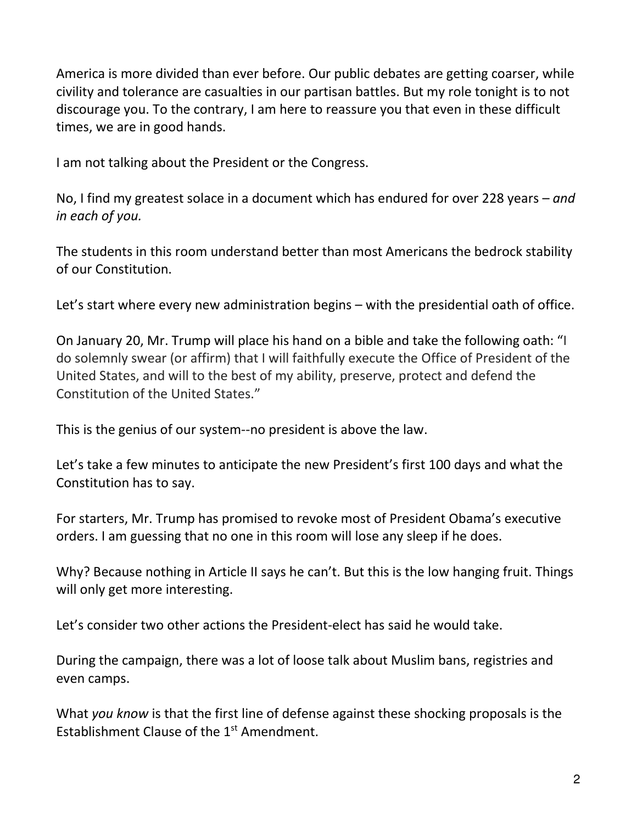America is more divided than ever before. Our public debates are getting coarser, while civility and tolerance are casualties in our partisan battles. But my role tonight is to not discourage you. To the contrary, I am here to reassure you that even in these difficult times, we are in good hands.

I am not talking about the President or the Congress.

No, I find my greatest solace in a document which has endured for over 228 years – *and in each of you.*

The students in this room understand better than most Americans the bedrock stability of our Constitution.

Let's start where every new administration begins – with the presidential oath of office.

On January 20, Mr. Trump will place his hand on a bible and take the following oath: "I do solemnly swear (or affirm) that I will faithfully execute the Office of President of the United States, and will to the best of my ability, preserve, protect and defend the Constitution of the United States."

This is the genius of our system--no president is above the law.

Let's take a few minutes to anticipate the new President's first 100 days and what the Constitution has to say.

For starters, Mr. Trump has promised to revoke most of President Obama's executive orders. I am guessing that no one in this room will lose any sleep if he does.

Why? Because nothing in Article II says he can't. But this is the low hanging fruit. Things will only get more interesting.

Let's consider two other actions the President-elect has said he would take.

During the campaign, there was a lot of loose talk about Muslim bans, registries and even camps.

What *you know* is that the first line of defense against these shocking proposals is the Establishment Clause of the 1<sup>st</sup> Amendment.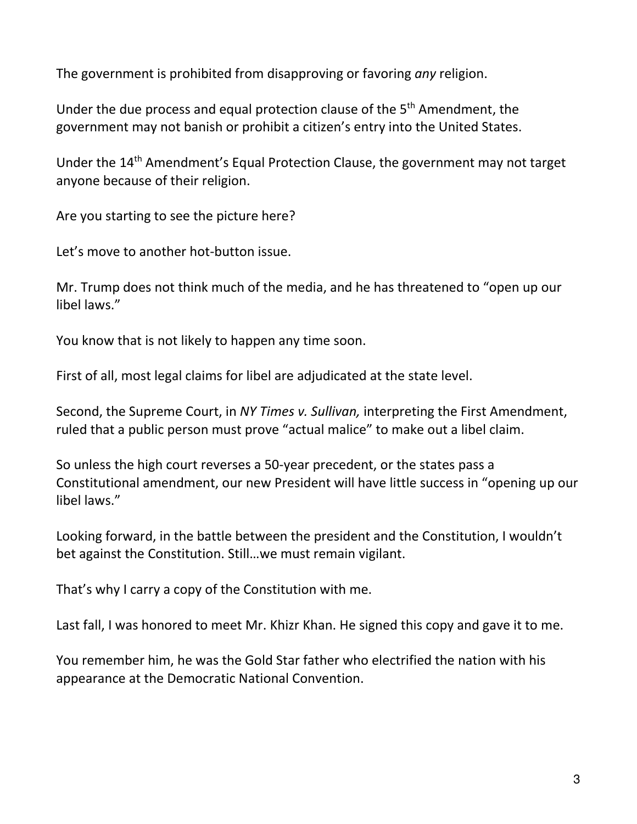The government is prohibited from disapproving or favoring *any* religion.

Under the due process and equal protection clause of the 5th Amendment, the government may not banish or prohibit a citizen's entry into the United States.

Under the 14<sup>th</sup> Amendment's Equal Protection Clause, the government may not target anyone because of their religion.

Are you starting to see the picture here?

Let's move to another hot-button issue.

Mr. Trump does not think much of the media, and he has threatened to "open up our libel laws."

You know that is not likely to happen any time soon.

First of all, most legal claims for libel are adjudicated at the state level.

Second, the Supreme Court, in *NY Times v. Sullivan,* interpreting the First Amendment, ruled that a public person must prove "actual malice" to make out a libel claim.

So unless the high court reverses a 50-year precedent, or the states pass a Constitutional amendment, our new President will have little success in "opening up our libel laws."

Looking forward, in the battle between the president and the Constitution, I wouldn't bet against the Constitution. Still…we must remain vigilant.

That's why I carry a copy of the Constitution with me.

Last fall, I was honored to meet Mr. Khizr Khan. He signed this copy and gave it to me.

You remember him, he was the Gold Star father who electrified the nation with his appearance at the Democratic National Convention.